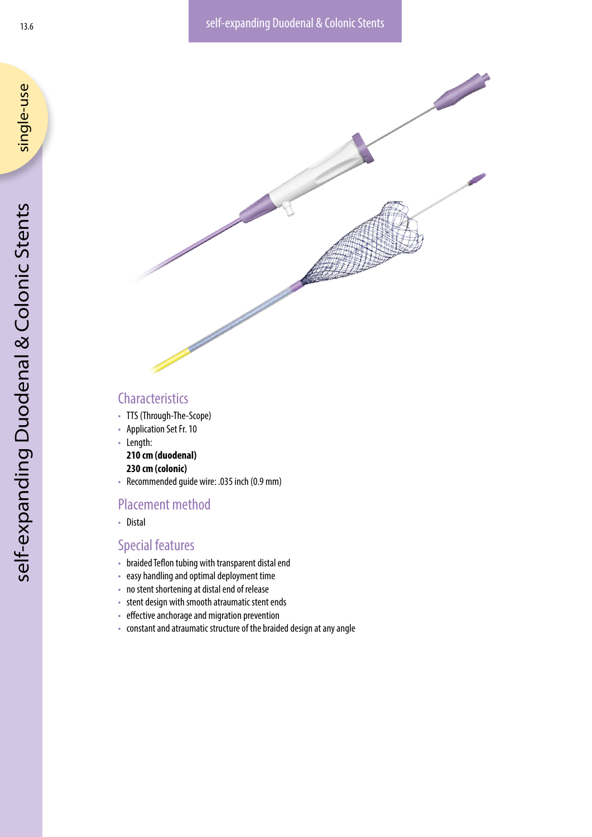



# **Characteristics**

- TTS (Through-The-Scope)
- Application Set Fr. 10
- Length:

**210 cm (duodenal)**

## **230 cm (colonic)**

• Recommended guide wire: .035 inch (0.9 mm)

## Placement method

• Distal

# Special features

- braided Teflon tubing with transparent distal end
- easy handling and optimal deployment time
- no stent shortening at distal end of release
- stent design with smooth atraumatic stent ends
- effective anchorage and migration prevention
- constant and atraumatic structure of the braided design at any angle